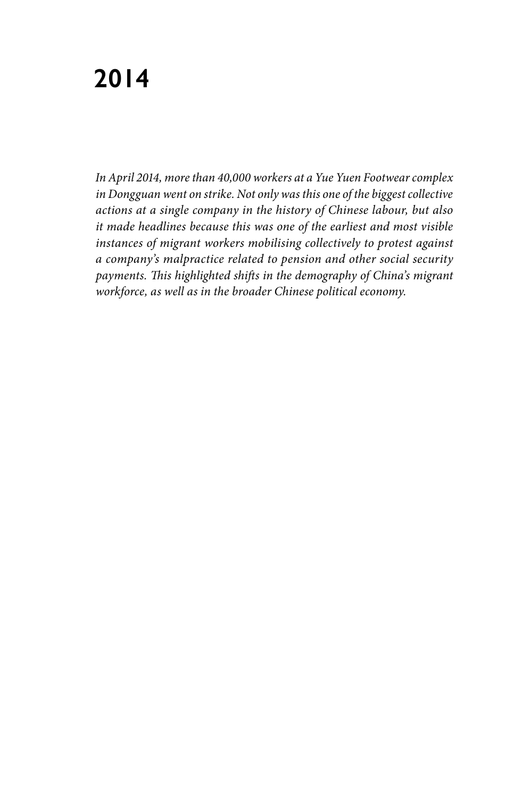# **2014**

*In April 2014, more than 40,000 workers at a Yue Yuen Footwear complex in Dongguan went on strike. Not only was this one of the biggest collective actions at a single company in the history of Chinese labour, but also it made headlines because this was one of the earliest and most visible instances of migrant workers mobilising collectively to protest against a company's malpractice related to pension and other social security payments. This highlighted shifts in the demography of China's migrant workforce, as well as in the broader Chinese political economy.*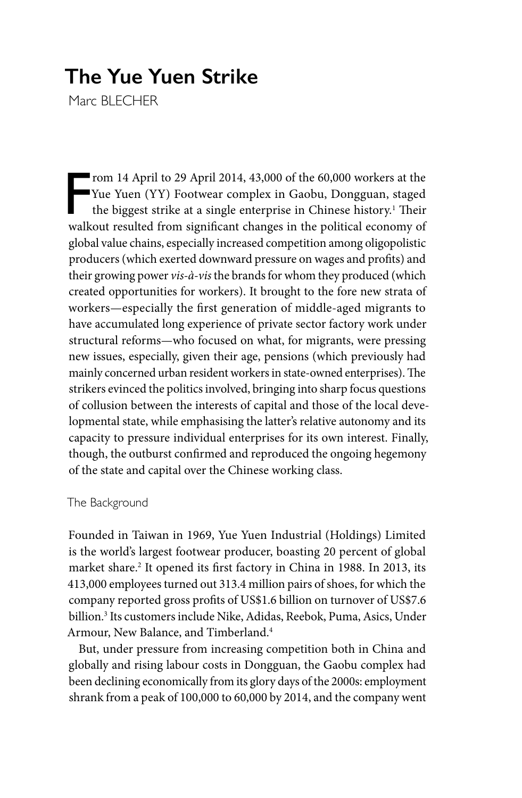# **The Yue Yuen Strike**

Marc BLFCHFR

Finally rom 14 April to 29 April 2014, 43,000 of the 60,000 workers at the Yue Yuen (YY) Footwear complex in Gaobu, Dongguan, staged the biggest strike at a single enterprise in Chinese history.<sup>1</sup> Their walkout resulted from significant changes in the political economy of global value chains, especially increased competition among oligopolistic producers (which exerted downward pressure on wages and profits) and their growing power *vis-à-vis* the brands for whom they produced (which created opportunities for workers). It brought to the fore new strata of workers—especially the first generation of middle-aged migrants to have accumulated long experience of private sector factory work under structural reforms—who focused on what, for migrants, were pressing new issues, especially, given their age, pensions (which previously had mainly concerned urban resident workers in state-owned enterprises). The strikers evinced the politics involved, bringing into sharp focus questions of collusion between the interests of capital and those of the local developmental state, while emphasising the latter's relative autonomy and its capacity to pressure individual enterprises for its own interest. Finally, though, the outburst confirmed and reproduced the ongoing hegemony of the state and capital over the Chinese working class.

## The Background

Founded in Taiwan in 1969, Yue Yuen Industrial (Holdings) Limited is the world's largest footwear producer, boasting 20 percent of global market share.<sup>2</sup> It opened its first factory in China in 1988. In 2013, its 413,000 employees turned out 313.4 million pairs of shoes, for which the company reported gross profits of US\$1.6 billion on turnover of US\$7.6 billion.3 Its customers include Nike, Adidas, Reebok, Puma, Asics, Under Armour, New Balance, and Timberland.4

But, under pressure from increasing competition both in China and globally and rising labour costs in Dongguan, the Gaobu complex had been declining economically from its glory days of the 2000s: employment shrank from a peak of 100,000 to 60,000 by 2014, and the company went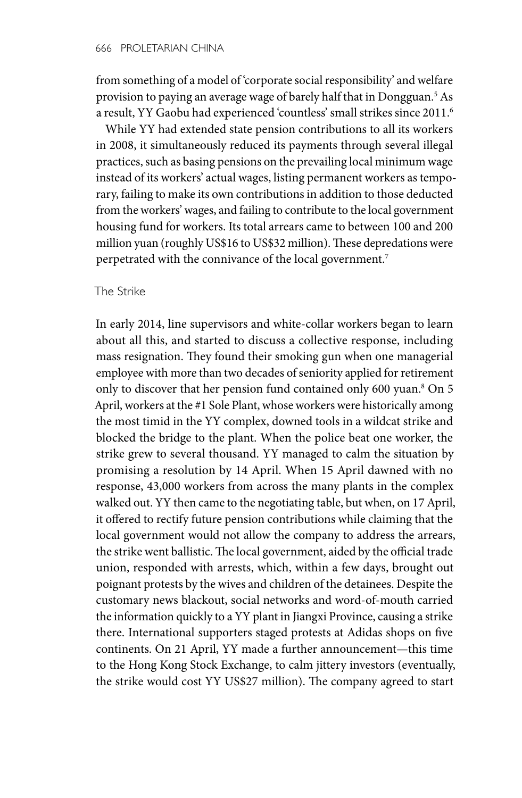from something of a model of 'corporate social responsibility' and welfare provision to paying an average wage of barely half that in Dongguan.5 As a result, YY Gaobu had experienced 'countless' small strikes since 2011.6

While YY had extended state pension contributions to all its workers in 2008, it simultaneously reduced its payments through several illegal practices, such as basing pensions on the prevailing local minimum wage instead of its workers' actual wages, listing permanent workers as temporary, failing to make its own contributions in addition to those deducted from the workers' wages, and failing to contribute to the local government housing fund for workers. Its total arrears came to between 100 and 200 million yuan (roughly US\$16 to US\$32 million). These depredations were perpetrated with the connivance of the local government.<sup>7</sup>

#### The Strike

In early 2014, line supervisors and white-collar workers began to learn about all this, and started to discuss a collective response, including mass resignation. They found their smoking gun when one managerial employee with more than two decades of seniority applied for retirement only to discover that her pension fund contained only 600 yuan.<sup>8</sup> On 5 April, workers at the #1 Sole Plant, whose workers were historically among the most timid in the YY complex, downed tools in a wildcat strike and blocked the bridge to the plant. When the police beat one worker, the strike grew to several thousand. YY managed to calm the situation by promising a resolution by 14 April. When 15 April dawned with no response, 43,000 workers from across the many plants in the complex walked out. YY then came to the negotiating table, but when, on 17 April, it offered to rectify future pension contributions while claiming that the local government would not allow the company to address the arrears, the strike went ballistic. The local government, aided by the official trade union, responded with arrests, which, within a few days, brought out poignant protests by the wives and children of the detainees. Despite the customary news blackout, social networks and word-of-mouth carried the information quickly to a YY plant in Jiangxi Province, causing a strike there. International supporters staged protests at Adidas shops on five continents. On 21 April, YY made a further announcement—this time to the Hong Kong Stock Exchange, to calm jittery investors (eventually, the strike would cost YY US\$27 million). The company agreed to start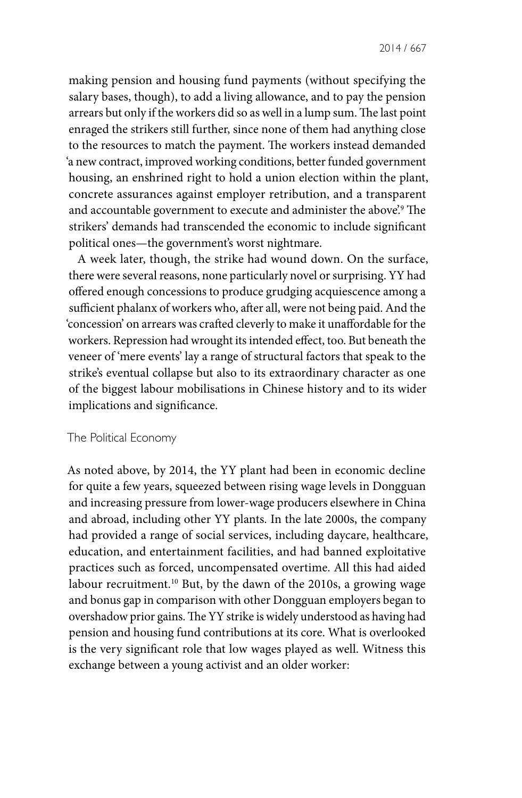making pension and housing fund payments (without specifying the salary bases, though), to add a living allowance, and to pay the pension arrears but only if the workers did so as well in a lump sum. The last point enraged the strikers still further, since none of them had anything close to the resources to match the payment. The workers instead demanded 'a new contract, improved working conditions, better funded government housing, an enshrined right to hold a union election within the plant, concrete assurances against employer retribution, and a transparent and accountable government to execute and administer the above'.9 The strikers' demands had transcended the economic to include significant political ones—the government's worst nightmare.

A week later, though, the strike had wound down. On the surface, there were several reasons, none particularly novel or surprising. YY had offered enough concessions to produce grudging acquiescence among a sufficient phalanx of workers who, after all, were not being paid. And the 'concession' on arrears was crafted cleverly to make it unaffordable for the workers. Repression had wrought its intended effect, too. But beneath the veneer of 'mere events' lay a range of structural factors that speak to the strike's eventual collapse but also to its extraordinary character as one of the biggest labour mobilisations in Chinese history and to its wider implications and significance.

#### The Political Economy

As noted above, by 2014, the YY plant had been in economic decline for quite a few years, squeezed between rising wage levels in Dongguan and increasing pressure from lower-wage producers elsewhere in China and abroad, including other YY plants. In the late 2000s, the company had provided a range of social services, including daycare, healthcare, education, and entertainment facilities, and had banned exploitative practices such as forced, uncompensated overtime. All this had aided labour recruitment.10 But, by the dawn of the 2010s, a growing wage and bonus gap in comparison with other Dongguan employers began to overshadow prior gains. The YY strike is widely understood as having had pension and housing fund contributions at its core. What is overlooked is the very significant role that low wages played as well. Witness this exchange between a young activist and an older worker: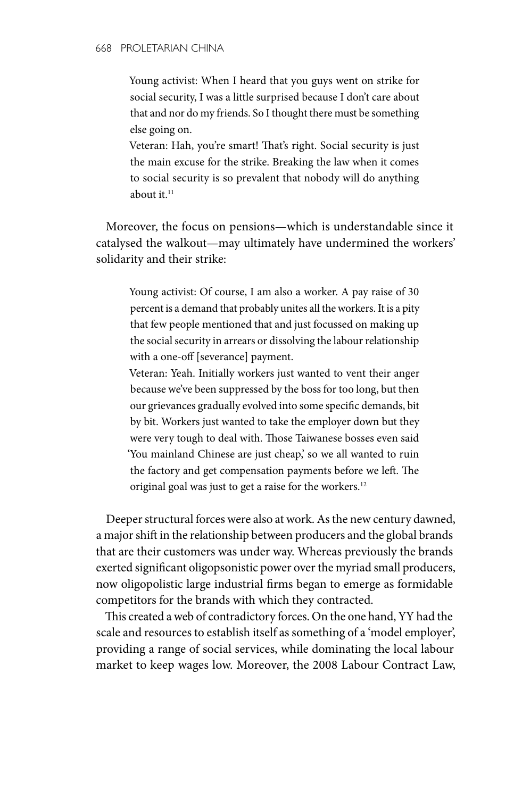Young activist: When I heard that you guys went on strike for social security, I was a little surprised because I don't care about that and nor do my friends. So I thought there must be something else going on.

Veteran: Hah, you're smart! That's right. Social security is just the main excuse for the strike. Breaking the law when it comes to social security is so prevalent that nobody will do anything about it. $11$ 

Moreover, the focus on pensions—which is understandable since it catalysed the walkout—may ultimately have undermined the workers' solidarity and their strike:

Young activist: Of course, I am also a worker. A pay raise of 30 percent is a demand that probably unites all the workers. It is a pity that few people mentioned that and just focussed on making up the social security in arrears or dissolving the labour relationship with a one-off [severance] payment.

Veteran: Yeah. Initially workers just wanted to vent their anger because we've been suppressed by the boss for too long, but then our grievances gradually evolved into some specific demands, bit by bit. Workers just wanted to take the employer down but they were very tough to deal with. Those Taiwanese bosses even said 'You mainland Chinese are just cheap,' so we all wanted to ruin the factory and get compensation payments before we left. The original goal was just to get a raise for the workers.12

Deeper structural forces were also at work. As the new century dawned, a major shift in the relationship between producers and the global brands that are their customers was under way. Whereas previously the brands exerted significant oligopsonistic power over the myriad small producers, now oligopolistic large industrial firms began to emerge as formidable competitors for the brands with which they contracted.

This created a web of contradictory forces. On the one hand, YY had the scale and resources to establish itself as something of a 'model employer', providing a range of social services, while dominating the local labour market to keep wages low. Moreover, the 2008 Labour Contract Law,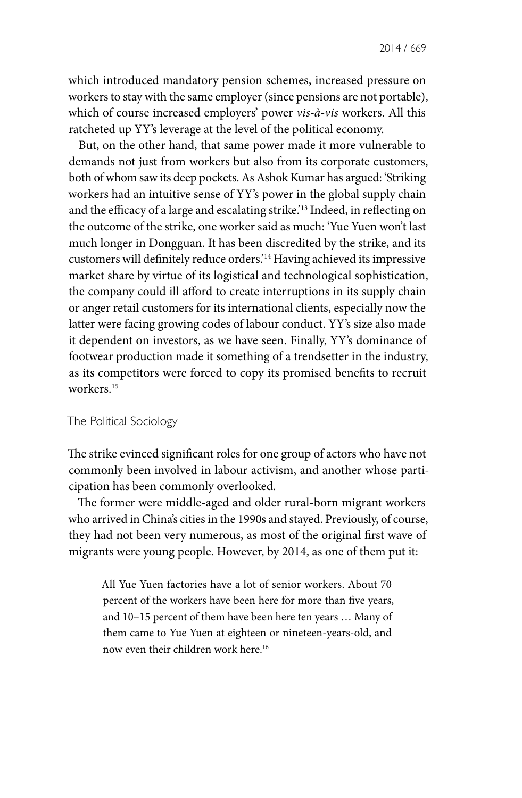which introduced mandatory pension schemes, increased pressure on workers to stay with the same employer (since pensions are not portable), which of course increased employers' power *vis-à-vis* workers. All this ratcheted up YY's leverage at the level of the political economy.

But, on the other hand, that same power made it more vulnerable to demands not just from workers but also from its corporate customers, both of whom saw its deep pockets. As Ashok Kumar has argued: 'Striking workers had an intuitive sense of YY's power in the global supply chain and the efficacy of a large and escalating strike.'13 Indeed, in reflecting on the outcome of the strike, one worker said as much: 'Yue Yuen won't last much longer in Dongguan. It has been discredited by the strike, and its customers will definitely reduce orders.'14 Having achieved its impressive market share by virtue of its logistical and technological sophistication, the company could ill afford to create interruptions in its supply chain or anger retail customers for its international clients, especially now the latter were facing growing codes of labour conduct. YY's size also made it dependent on investors, as we have seen. Finally, YY's dominance of footwear production made it something of a trendsetter in the industry, as its competitors were forced to copy its promised benefits to recruit workers.15

#### The Political Sociology

The strike evinced significant roles for one group of actors who have not commonly been involved in labour activism, and another whose participation has been commonly overlooked.

The former were middle-aged and older rural-born migrant workers who arrived in China's cities in the 1990s and stayed. Previously, of course, they had not been very numerous, as most of the original first wave of migrants were young people. However, by 2014, as one of them put it:

All Yue Yuen factories have a lot of senior workers. About 70 percent of the workers have been here for more than five years, and 10–15 percent of them have been here ten years … Many of them came to Yue Yuen at eighteen or nineteen-years-old, and now even their children work here.16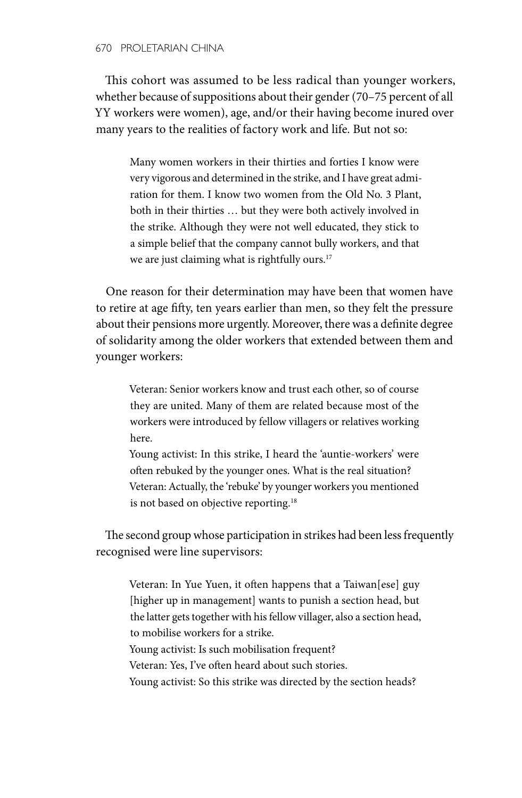#### 670 PROLETARIAN CHINA

This cohort was assumed to be less radical than younger workers, whether because of suppositions about their gender (70–75 percent of all YY workers were women), age, and/or their having become inured over many years to the realities of factory work and life. But not so:

Many women workers in their thirties and forties I know were very vigorous and determined in the strike, and I have great admiration for them. I know two women from the Old No. 3 Plant, both in their thirties … but they were both actively involved in the strike. Although they were not well educated, they stick to a simple belief that the company cannot bully workers, and that we are just claiming what is rightfully ours.<sup>17</sup>

One reason for their determination may have been that women have to retire at age fifty, ten years earlier than men, so they felt the pressure about their pensions more urgently. Moreover, there was a definite degree of solidarity among the older workers that extended between them and younger workers:

Veteran: Senior workers know and trust each other, so of course they are united. Many of them are related because most of the workers were introduced by fellow villagers or relatives working here.

Young activist: In this strike, I heard the 'auntie-workers' were often rebuked by the younger ones. What is the real situation? Veteran: Actually, the 'rebuke' by younger workers you mentioned is not based on objective reporting.<sup>18</sup>

The second group whose participation in strikes had been less frequently recognised were line supervisors:

Veteran: In Yue Yuen, it often happens that a Taiwan[ese] guy [higher up in management] wants to punish a section head, but the latter gets together with his fellow villager, also a section head, to mobilise workers for a strike.

Young activist: Is such mobilisation frequent?

Veteran: Yes, I've often heard about such stories.

Young activist: So this strike was directed by the section heads?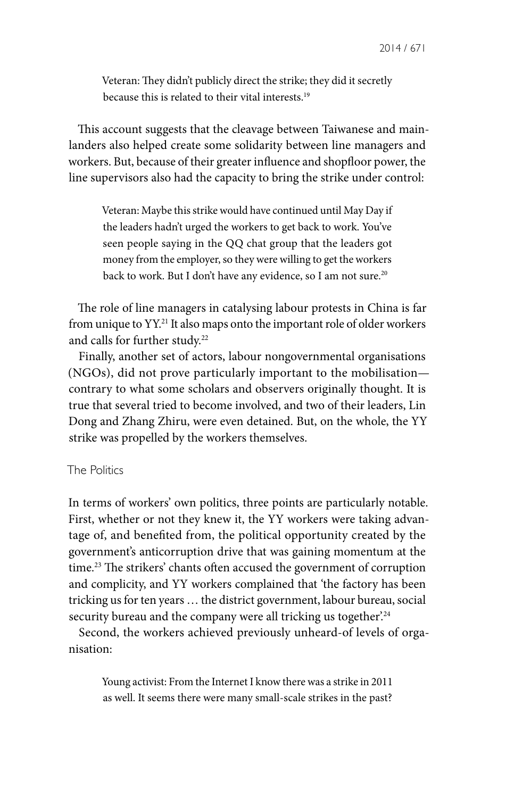Veteran: They didn't publicly direct the strike; they did it secretly because this is related to their vital interests.<sup>19</sup>

This account suggests that the cleavage between Taiwanese and mainlanders also helped create some solidarity between line managers and workers. But, because of their greater influence and shopfloor power, the line supervisors also had the capacity to bring the strike under control:

Veteran: Maybe this strike would have continued until May Day if the leaders hadn't urged the workers to get back to work. You've seen people saying in the QQ chat group that the leaders got money from the employer, so they were willing to get the workers back to work. But I don't have any evidence, so I am not sure.<sup>20</sup>

The role of line managers in catalysing labour protests in China is far from unique to YY.21 It also maps onto the important role of older workers and calls for further study.<sup>22</sup>

Finally, another set of actors, labour nongovernmental organisations (NGOs), did not prove particularly important to the mobilisation contrary to what some scholars and observers originally thought. It is true that several tried to become involved, and two of their leaders, Lin Dong and Zhang Zhiru, were even detained. But, on the whole, the YY strike was propelled by the workers themselves.

### The Politics

In terms of workers' own politics, three points are particularly notable. First, whether or not they knew it, the YY workers were taking advantage of, and benefited from, the political opportunity created by the government's anticorruption drive that was gaining momentum at the time.23 The strikers' chants often accused the government of corruption and complicity, and YY workers complained that 'the factory has been tricking us for ten years … the district government, labour bureau, social security bureau and the company were all tricking us together.<sup>24</sup>

Second, the workers achieved previously unheard-of levels of organisation:

Young activist: From the Internet I know there was a strike in 2011 as well. It seems there were many small-scale strikes in the past?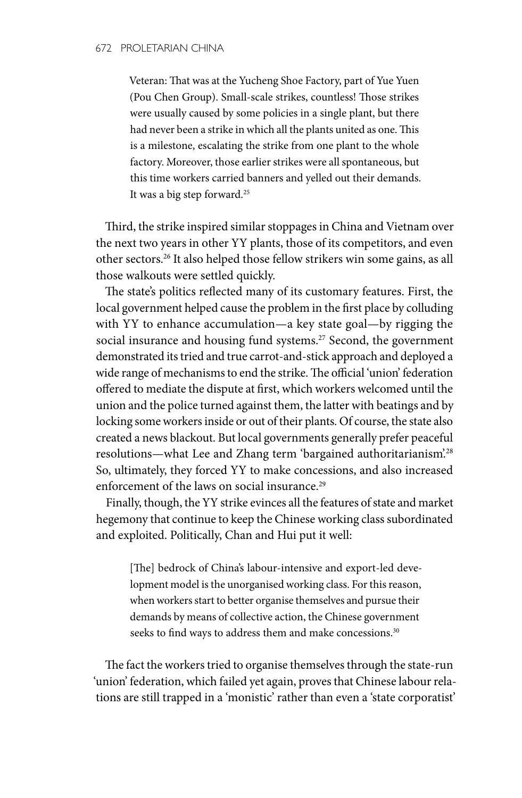Veteran: That was at the Yucheng Shoe Factory, part of Yue Yuen (Pou Chen Group). Small-scale strikes, countless! Those strikes were usually caused by some policies in a single plant, but there had never been a strike in which all the plants united as one. This is a milestone, escalating the strike from one plant to the whole factory. Moreover, those earlier strikes were all spontaneous, but this time workers carried banners and yelled out their demands. It was a big step forward.25

Third, the strike inspired similar stoppages in China and Vietnam over the next two years in other YY plants, those of its competitors, and even other sectors.26 It also helped those fellow strikers win some gains, as all those walkouts were settled quickly.

The state's politics reflected many of its customary features. First, the local government helped cause the problem in the first place by colluding with YY to enhance accumulation—a key state goal—by rigging the social insurance and housing fund systems.<sup>27</sup> Second, the government demonstrated its tried and true carrot-and-stick approach and deployed a wide range of mechanisms to end the strike. The official 'union' federation offered to mediate the dispute at first, which workers welcomed until the union and the police turned against them, the latter with beatings and by locking some workers inside or out of their plants. Of course, the state also created a news blackout. But local governments generally prefer peaceful resolutions—what Lee and Zhang term 'bargained authoritarianism'.28 So, ultimately, they forced YY to make concessions, and also increased enforcement of the laws on social insurance.<sup>29</sup>

Finally, though, the YY strike evinces all the features of state and market hegemony that continue to keep the Chinese working class subordinated and exploited. Politically, Chan and Hui put it well:

[The] bedrock of China's labour-intensive and export-led development model is the unorganised working class. For this reason, when workers start to better organise themselves and pursue their demands by means of collective action, the Chinese government seeks to find ways to address them and make concessions.<sup>30</sup>

The fact the workers tried to organise themselves through the state-run 'union' federation, which failed yet again, proves that Chinese labour relations are still trapped in a 'monistic' rather than even a 'state corporatist'